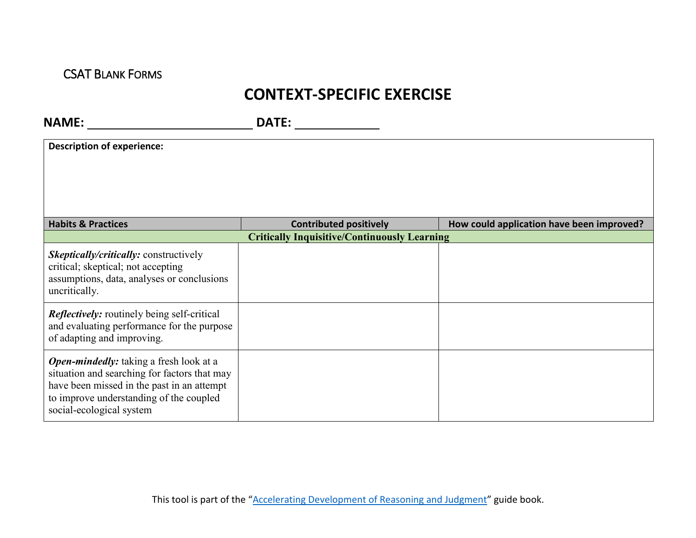## CSAT BLANK FORMS

## **CONTEXT-SPECIFIC EXERCISE**

| <b>NAME:</b>                                                                                                                                                                                                        | <b>DATE:</b>                                        |                                           |
|---------------------------------------------------------------------------------------------------------------------------------------------------------------------------------------------------------------------|-----------------------------------------------------|-------------------------------------------|
| <b>Description of experience:</b>                                                                                                                                                                                   |                                                     |                                           |
| <b>Habits &amp; Practices</b>                                                                                                                                                                                       | <b>Contributed positively</b>                       | How could application have been improved? |
|                                                                                                                                                                                                                     | <b>Critically Inquisitive/Continuously Learning</b> |                                           |
| Skeptically/critically: constructively<br>critical; skeptical; not accepting<br>assumptions, data, analyses or conclusions<br>uncritically.                                                                         |                                                     |                                           |
| Reflectively: routinely being self-critical<br>and evaluating performance for the purpose<br>of adapting and improving.                                                                                             |                                                     |                                           |
| <b>Open-mindedly:</b> taking a fresh look at a<br>situation and searching for factors that may<br>have been missed in the past in an attempt<br>to improve understanding of the coupled<br>social-ecological system |                                                     |                                           |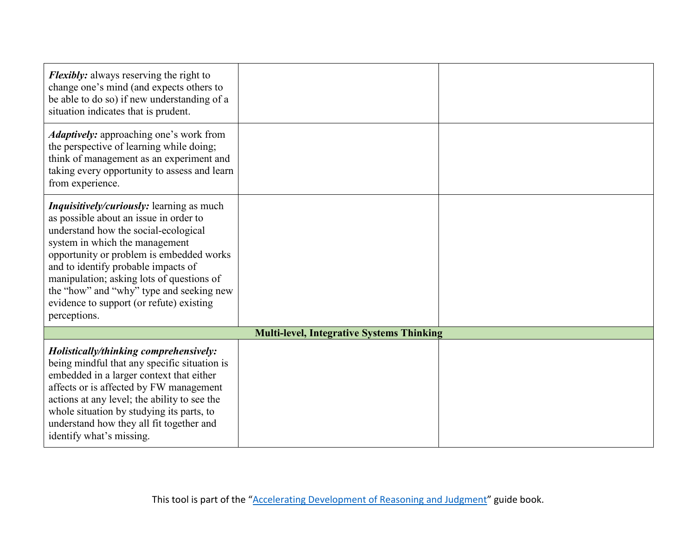| <b>Flexibly:</b> always reserving the right to<br>change one's mind (and expects others to<br>be able to do so) if new understanding of a<br>situation indicates that is prudent.                                                                                                                                                                                                                     |  |  |
|-------------------------------------------------------------------------------------------------------------------------------------------------------------------------------------------------------------------------------------------------------------------------------------------------------------------------------------------------------------------------------------------------------|--|--|
| <b>Adaptively:</b> approaching one's work from<br>the perspective of learning while doing;<br>think of management as an experiment and<br>taking every opportunity to assess and learn<br>from experience.                                                                                                                                                                                            |  |  |
| Inquisitively/curiously: learning as much<br>as possible about an issue in order to<br>understand how the social-ecological<br>system in which the management<br>opportunity or problem is embedded works<br>and to identify probable impacts of<br>manipulation; asking lots of questions of<br>the "how" and "why" type and seeking new<br>evidence to support (or refute) existing<br>perceptions. |  |  |
| <b>Multi-level, Integrative Systems Thinking</b>                                                                                                                                                                                                                                                                                                                                                      |  |  |
| Holistically/thinking comprehensively:<br>being mindful that any specific situation is<br>embedded in a larger context that either<br>affects or is affected by FW management<br>actions at any level; the ability to see the<br>whole situation by studying its parts, to<br>understand how they all fit together and<br>identify what's missing.                                                    |  |  |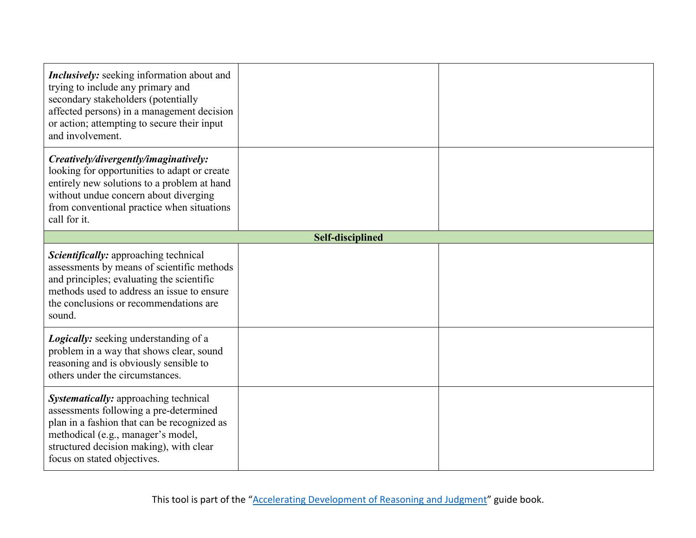| <b>Inclusively:</b> seeking information about and<br>trying to include any primary and<br>secondary stakeholders (potentially<br>affected persons) in a management decision<br>or action; attempting to secure their input<br>and involvement.        |                         |  |
|-------------------------------------------------------------------------------------------------------------------------------------------------------------------------------------------------------------------------------------------------------|-------------------------|--|
| Creatively/divergently/imaginatively:<br>looking for opportunities to adapt or create<br>entirely new solutions to a problem at hand<br>without undue concern about diverging<br>from conventional practice when situations<br>call for it.           |                         |  |
|                                                                                                                                                                                                                                                       | <b>Self-disciplined</b> |  |
| Scientifically: approaching technical<br>assessments by means of scientific methods<br>and principles; evaluating the scientific<br>methods used to address an issue to ensure<br>the conclusions or recommendations are<br>sound.                    |                         |  |
| <b>Logically:</b> seeking understanding of a<br>problem in a way that shows clear, sound<br>reasoning and is obviously sensible to<br>others under the circumstances.                                                                                 |                         |  |
| <b>Systematically:</b> approaching technical<br>assessments following a pre-determined<br>plan in a fashion that can be recognized as<br>methodical (e.g., manager's model,<br>structured decision making), with clear<br>focus on stated objectives. |                         |  |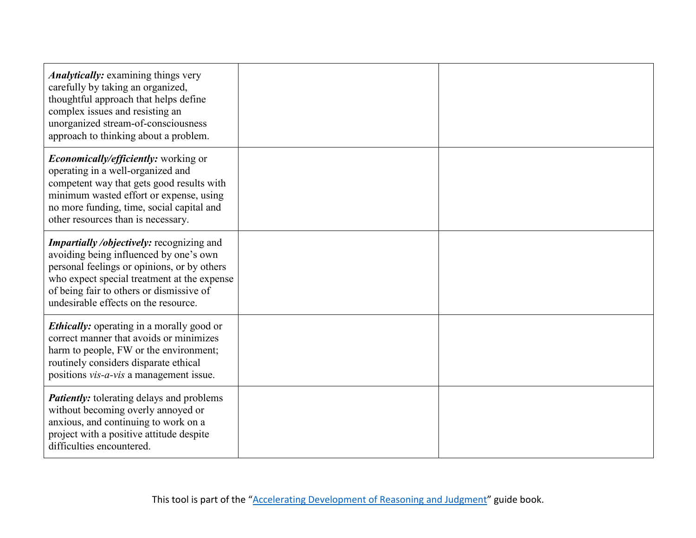| <b>Analytically:</b> examining things very<br>carefully by taking an organized,<br>thoughtful approach that helps define<br>complex issues and resisting an<br>unorganized stream-of-consciousness<br>approach to thinking about a problem.                                 |  |
|-----------------------------------------------------------------------------------------------------------------------------------------------------------------------------------------------------------------------------------------------------------------------------|--|
| <i>Economically/efficiently:</i> working or<br>operating in a well-organized and<br>competent way that gets good results with<br>minimum wasted effort or expense, using<br>no more funding, time, social capital and<br>other resources than is necessary.                 |  |
| <b>Impartially/objectively:</b> recognizing and<br>avoiding being influenced by one's own<br>personal feelings or opinions, or by others<br>who expect special treatment at the expense<br>of being fair to others or dismissive of<br>undesirable effects on the resource. |  |
| <i>Ethically:</i> operating in a morally good or<br>correct manner that avoids or minimizes<br>harm to people, FW or the environment;<br>routinely considers disparate ethical<br>positions vis-a-vis a management issue.                                                   |  |
| <b>Patiently:</b> tolerating delays and problems<br>without becoming overly annoyed or<br>anxious, and continuing to work on a<br>project with a positive attitude despite<br>difficulties encountered.                                                                     |  |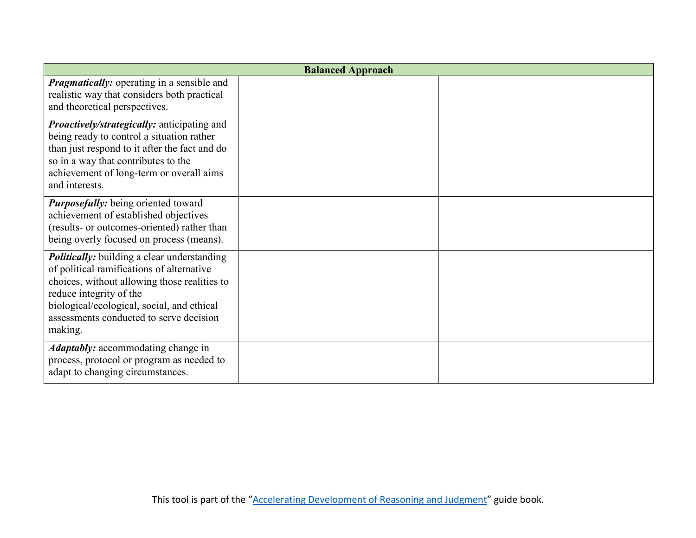| <b>Balanced Approach</b>                                                                                                                                                                                                                                                       |  |  |
|--------------------------------------------------------------------------------------------------------------------------------------------------------------------------------------------------------------------------------------------------------------------------------|--|--|
| <b>Pragmatically:</b> operating in a sensible and<br>realistic way that considers both practical<br>and theoretical perspectives.                                                                                                                                              |  |  |
| <b>Proactively/strategically:</b> anticipating and<br>being ready to control a situation rather<br>than just respond to it after the fact and do<br>so in a way that contributes to the<br>achievement of long-term or overall aims<br>and interests.                          |  |  |
| <b>Purposefully:</b> being oriented toward<br>achievement of established objectives<br>(results- or outcomes-oriented) rather than<br>being overly focused on process (means).                                                                                                 |  |  |
| <b>Politically:</b> building a clear understanding<br>of political ramifications of alternative<br>choices, without allowing those realities to<br>reduce integrity of the<br>biological/ecological, social, and ethical<br>assessments conducted to serve decision<br>making. |  |  |
| <i>Adaptably:</i> accommodating change in<br>process, protocol or program as needed to<br>adapt to changing circumstances.                                                                                                                                                     |  |  |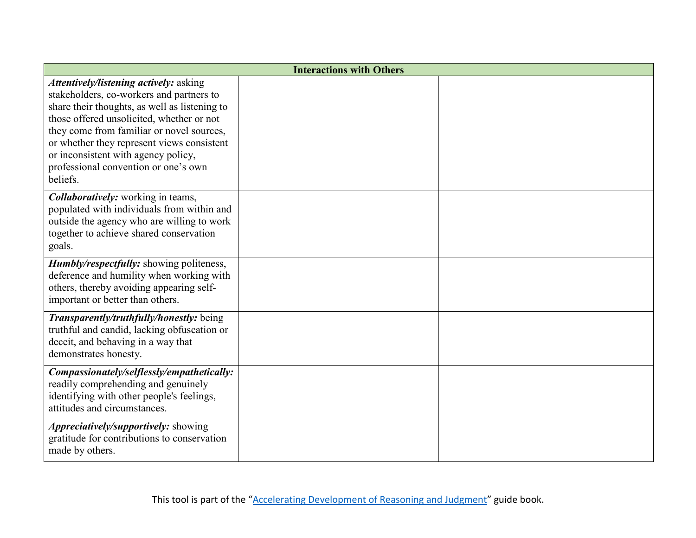| <b>Interactions with Others</b>                                                                                                                                                                                                                                                                                                                                               |  |  |
|-------------------------------------------------------------------------------------------------------------------------------------------------------------------------------------------------------------------------------------------------------------------------------------------------------------------------------------------------------------------------------|--|--|
| <b>Attentively/listening actively: asking</b><br>stakeholders, co-workers and partners to<br>share their thoughts, as well as listening to<br>those offered unsolicited, whether or not<br>they come from familiar or novel sources,<br>or whether they represent views consistent<br>or inconsistent with agency policy,<br>professional convention or one's own<br>beliefs. |  |  |
| <b>Collaboratively:</b> working in teams,<br>populated with individuals from within and<br>outside the agency who are willing to work<br>together to achieve shared conservation<br>goals.                                                                                                                                                                                    |  |  |
| Humbly/respectfully: showing politeness,<br>deference and humility when working with<br>others, thereby avoiding appearing self-<br>important or better than others.                                                                                                                                                                                                          |  |  |
| Transparently/truthfully/honestly: being<br>truthful and candid, lacking obfuscation or<br>deceit, and behaving in a way that<br>demonstrates honesty.                                                                                                                                                                                                                        |  |  |
| Compassionately/selflessly/empathetically:<br>readily comprehending and genuinely<br>identifying with other people's feelings,<br>attitudes and circumstances.                                                                                                                                                                                                                |  |  |
| Appreciatively/supportively: showing<br>gratitude for contributions to conservation<br>made by others.                                                                                                                                                                                                                                                                        |  |  |